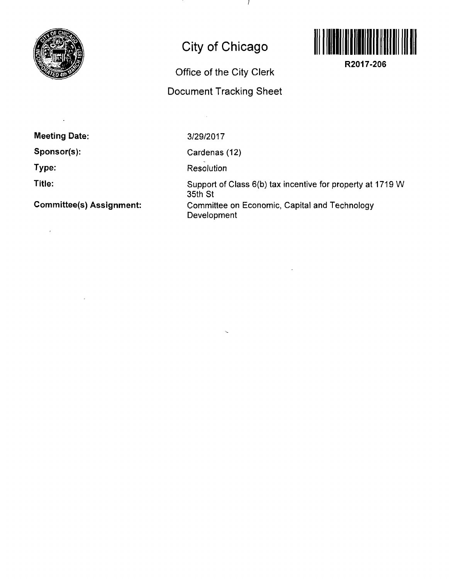

# **City of Chicago**

-1



**R2017-206** 

# **Office of the City Clerk**

# **Document Tracking Sheet**

**Meeting Date:** 

**Sponsor(s):** 

**Type:** 

**Title:** 

 $\bar{z}$ 

**Committee(s) Assignment:** 

3/29/2017

 $\sim$   $\sim$ 

Cardenas (12)

Resolution

Support of Class 6(b) tax incentive for property at 1719 W 35th St Committee on Economic, Capital and Technology Development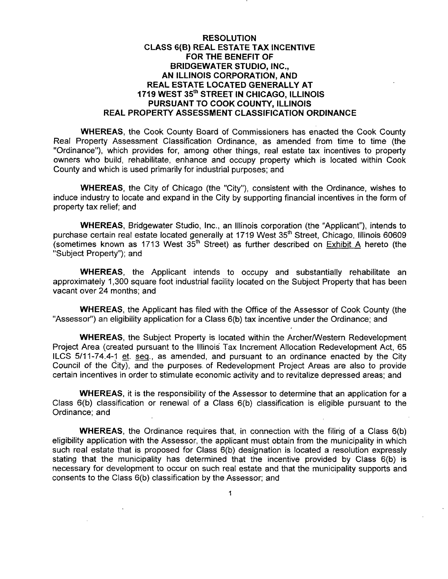# **RESOLUTION CLASS 6(B) REAL ESTATE TAX INCENTIVE FOR THE BENEFIT OF BRIDGEWATER STUDIO, INC., AN ILLINOIS CORPORATION, AND REAL ESTATE LOCATED GENERALLY AT 1719 WEST 35\*\*" STREET IN CHICAGO, ILLINOIS PURSUANT TO COOK COUNTY, ILLINOIS REAL PROPERTY ASSESSMENT CLASSIFICATION ORDINANCE**

WHEREAS, the Cook County Board of Commissioners has enacted the Cook County Real Property Assessment Classification Ordinance, as amended from time to time (the "Ordinance"), which provides for, among other things, real estate tax incentives to property owners who build, rehabilitate, enhance and occupy property which is located within Cook County and which is used primarily for industrial purposes; and

WHEREAS, the City of Chicago (the "City"), consistent with the Ordinance, wishes to induce industry to locate and expand in the City by supporting financial incentives in the form of property tax relief; and

WHEREAS, Bridgewater Studio, Inc., an Illinois corporation (the "Applicant"), intends to purchase certain real estate located generally at 1719 West 35<sup>th</sup> Street, Chicago, Illinois 60609 (sometimes known as 1713 West  $35<sup>th</sup>$  Street) as further described on Exhibit A hereto (the "Subject Property"); and

WHEREAS, the Applicant intends to occupy and substantially rehabilitate an approximately 1,300 square foot industrial facility located on the Subject Property that has been vacant over 24 months; and

WHEREAS, the Applicant has filed with the Office of the Assessor of Cook County (the "Assessor") an eligibility application for a Class 6(b) tax incentive under the Ordinance; and

WHEREAS, the Subject Property is located within the Archer/Western Redevelopment Project Area (created pursuant to the Illinois Tax Increment Allocation Redevelopment Act, 65 ILCS 5/11-74.4-1 et. seq., as amended, and pursuant to an ordinance enacted by the City Council of the City), and the purposes of Redevelopment Project Areas are also to provide certain incentives in order to stimulate economic activity and to revitalize depressed areas; and

WHEREAS, it is the responsibility of the Assessor to determine that an application for a Class  $6(b)$  classification or renewal of a Class  $6(b)$  classification is eligible pursuant to the Ordinance; and

WHEREAS, the Ordinance requires that, in connection with the filing of a Class 6(b) eligibility application with the Assessor, the applicant must obtain from the municipality in which such real estate that is proposed for Class 6(b) designation is located a resolution expressly stating that the municipality has determined that the incentive provided by Class 6(b) is necessary for development to occur on such real estate and that the municipality supports and consents to the Class 6(b) classification by the Assessor; and

 $\ddagger$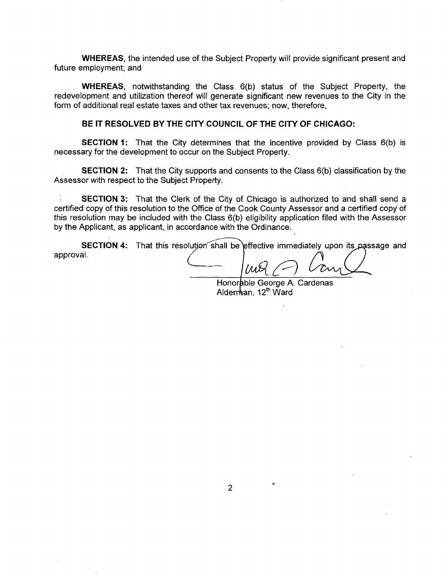WHEREAS, the intended use of the Subject Property will provide significant present and future employment; and

WHEREAS, notwithstanding the Class 6(b) status of the Subject Property, the redevelopment and utilization thereof will generate significant new revenues to the City in the form of additional real estate taxes and other tax revenues; now, therefore,

#### **BE IT RESOLVED BY THE CITY COUNCIL OF THE CITY OF CHICAGO:**

SECTION 1: That the City determines that the incentive provided by Class 6(b) is necessary for the development to occur on the Subject Property.

**SECTION 2:** That the City supports and consents to the Class 6(b) classification by the Assessor with respect to the Subject Property.

SECTION 3: That the Clerk of the City of Chicago is authorized to and shall send a certified copy of this resolution to the Office of the Cook County Assessor and a certified copy of this resolution may be included with the Class 6(b) eligibility application filed with the Assessor by the Applicant, as applicant, in accordance with the Ordinance.

SECTION 4: That this resolution shall be effective immediately upon its passage and approval.

**'(Mg\_** 

Honorable George A. Cardenas Alderman, 12<sup>th</sup> Ward

 $\pmb{\circ}$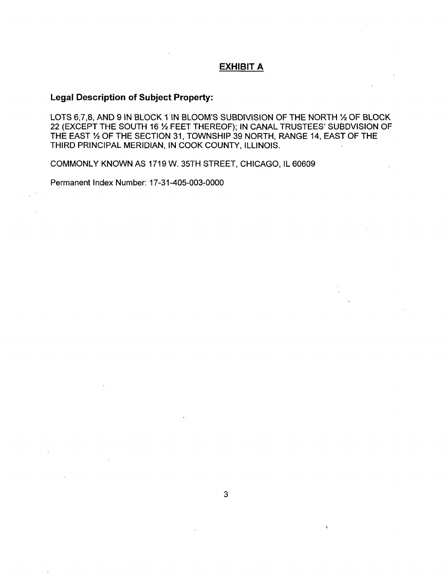# **EXHIBIT A**

# **Legal Description of Subject Property:**

LOTS 6,7,8, AND 9 IN BLOCK 1 IN BLOOM'S SUBDIVISION OF THE NORTH 1/2 OF BLOCK 22 (EXCEPT THE SOUTH 16 % FEET THEREOF); IN CANAL TRUSTEES' SUBDVISION OF THE EAST 1/2 OF THE SECTION 31, TOWNSHIP 39 NORTH, RANGE 14, EAST OF THE THIRD PRINCIPAL MERIDIAN, IN COOK COUNTY, ILLINOIS.

COMMONLY KNOWN AS 1719 W. 35TH STREET, CHICAGO, IL 60609

Permanent Index Number: 17-31-405-003-0000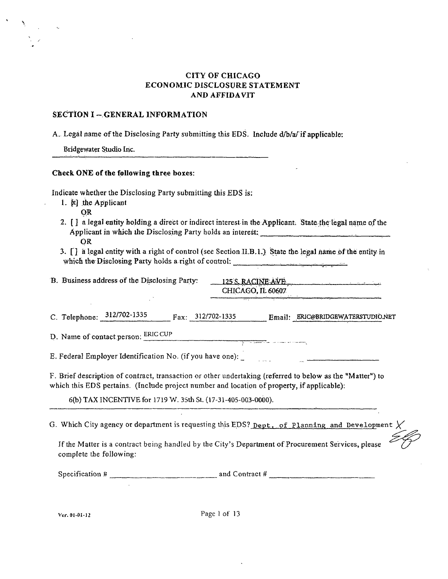# **CITY OF CHICAGO ECONOMIC DISCLOSURE STATEMENT AND AFFIDAVIT**

#### **SECTION I - GENERAL INFORMATION**

A. Legal name ofthe Disclosing Party submitting this EDS. Include d/b/a/ if applicable:

Bridgewater Studio Inc.

#### Check ONE of the following three boxes:

Indicate whether the Disclosing Party submitting this EDS is:

- 1. N the Applicant
	- **OR**
- 2. [ ] a legal entity holding a direct or indirect interest in the Applicant. State the legal name of the Applicant in which the Disclosing Party holds an interest: OR
- 3. [ } a legal entity with a riglit of control (see Section II.B.L) State the legal name of the entity in which the Disclosing Party holds a right of control:

| B. Business address of the Disclosing Party: | $125$ S. RACINE AVE      |
|----------------------------------------------|--------------------------|
|                                              | <b>CHICAGO, IL 60607</b> |
|                                              |                          |

|  | C. Telephone: 312/702-1335 |  | $\text{Fax:} \quad 312/702 - 1335$ |  | Email: ERIC@BRIDGEWATERSTUDIO.NET |
|--|----------------------------|--|------------------------------------|--|-----------------------------------|
|--|----------------------------|--|------------------------------------|--|-----------------------------------|

D. Name of contact person: ERiC CUP

E. Federal Employer Identification No. (if you have one):

F. Brief description of contract, transaction or other undertaking (referred to below as the "Matter") to which this EDS pertains. (Include project number and location of property, if applicable):

6(b) TAX INCENTIVE for 1719 W. 35th St. (17-31-405-003-0000).

G. Which City agency or department is requesting this EDS? Dept. of Planning and Development  $\chi$ 

Jf the Matter is a contract being handled by the City's Department of Procurement Services, please complete the following:

Specification  $\#$  and Contract  $\#$  and Contract  $\#$ 

Ver. 01-01-12 Page 1 of 13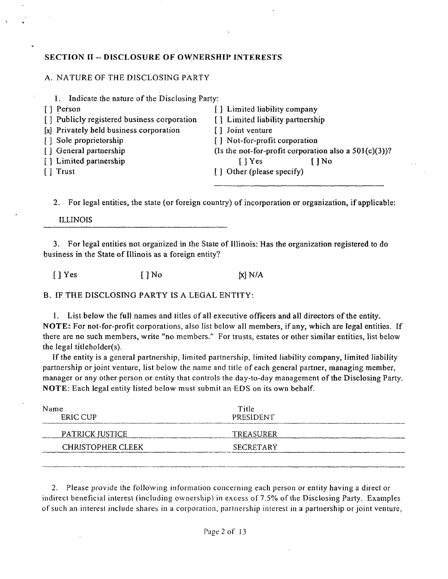# **SECTION II -- DISCLOSURE OF OWNERSHIP INTERESTS**

# A. NATURE OF THE DISCLOSING PARTY

| 1. Indicate the nature of the Disclosing Party: |                                                          |
|-------------------------------------------------|----------------------------------------------------------|
| Person<br>$\mathbf{1}$                          | [] Limited liability company                             |
| [] Publicly registered business corporation     | [] Limited liability partnership                         |
| [x] Privately held business corporation         | [] Joint venture                                         |
| [] Sole proprietorship                          | [] Not-for-profit corporation                            |
| [] General partnership                          | (Is the not-for-profit corporation also a $501(c)(3)$ )? |
| [] Limited partnership                          | $\lceil \cdot \rceil$ Yes<br>$1$ No                      |
| $\lceil \cdot \rceil$ Trust                     | [] Other (please specify)                                |
|                                                 |                                                          |

2. For legal entities, the state (or foreign country) of incorporation or organization, if applicable:

ILLINOIS

3. For legal entities not organized in the State of Illinois: Has the organization registered to do business in the State of Illinois as a foreign entity?

 $[ ]$  Yes  $[ ]$  No  $[x]$  N/A

B. IF THE DISCLOSING PARTY IS A LEGAL ENTITY:

1. List below the full names and titles of all executive officers and all directors of the entity. NOTE: For not-for-profit corporations, also list below all members, if any, which are legal entities. If there are no such members, write "no members." For trusts, estates or other similar entities, list below the legal titleholder(s).

If the entity is a general partnership, limited partnership, limited liability company, limited liability partnership or joint venture, list below the name and title of each general partner, managing member, manager or any other person or entity that controls the day-to-day management of the Disclosing Party. NOTE: Each legal entity listed below must submit an EDS on its own behalf.

| Name<br><b>ERIC CUP</b>  | Title<br><b>PRESIDENT</b> |  |
|--------------------------|---------------------------|--|
| PATRICK JUSTICE          | TREASURER                 |  |
| <b>CHRISTOPHER CLEEK</b> | <b>SECRETARY</b>          |  |
|                          |                           |  |

2. Please provide the following information concerning each person or entity having a direct or indirect beneficial interest (including ownership) in excess of 7.5% of the Disclosing Parly. Examples of such an interest include shares in a corporation, partnership interest in a partnership or joint venture,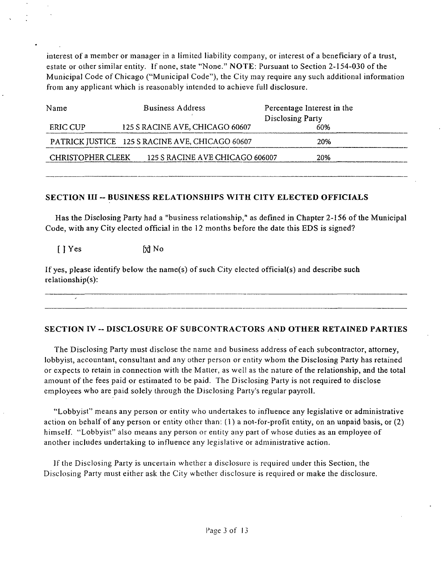interest of a member or manager in a limited liability company, or interest of a beneficiary of a trust, estate or other similar entity. If none, state "None." NOTE: Pursuant to Section 2-154-030 of the Municipal Code of Chicago ("Municipal Code"), the City may require any such additional information from any applicant which is reasonably intended to achieve full disclosure.

| Name                     | <b>Business Address</b>                         | Percentage Interest in the |
|--------------------------|-------------------------------------------------|----------------------------|
|                          |                                                 | Disclosing Party           |
| ERIC CUP                 | 125 S RACINE AVE, CHICAGO 60607                 | 60%                        |
|                          | PATRICK JUSTICE 125 S RACINE AVE, CHICAGO 60607 | 20%                        |
| <b>CHRISTOPHER CLEEK</b> | 125 S RACINE AVE CHICAGO 606007                 | 20%                        |
|                          |                                                 |                            |

# **SECTION III -- BUSINESS RELATIONSHIPS WITH CITY ELECTED OFFICIALS**

Has the Disclosing Party had a "business relationship," as defined in Chapter 2-156 of the Municipal Code, with any City elected official in the 12 months before the date this EDS is signed?

 $[$  ] Yes  $[$ *N* No

If yes, please identify below the name(s) of such City elected official(s) and describe such relationship(s):

## **SECTION IV ~ DISCLOSURE OF SUBCONTRACTORS AND OTHER RETAINED PARTIES**

The Disclosing Party must disclose the name and business address of each subcontractor, attorney, lobbyist, accountant, consultant and any other person or entity whom the Disclosing Party has retained or expects to retain in connection with the Matter, as well as the nature of the relationship, and the total amount of the fees paid or estimated to be paid. The Disclosing Party is not required to disclose employees who are paid solely through the Disclosing Party's regular payroll.

"Lobbyist" means any person or entity who undertakes to influence any legislative or administrative action on behalf of any person or entity other than:  $(1)$  a not-for-profit entity, on an unpaid basis, or  $(2)$ himself. "Lobbyist" also means any person or entity any part of whose duties as an employee of another includes undertaking to influence any legislative or administrative action.

If the Disclosing Party is uncertain whether a disclosure is required under this Section, the Disclosing Party must either ask the City whether disclosure is required or make the disclosure.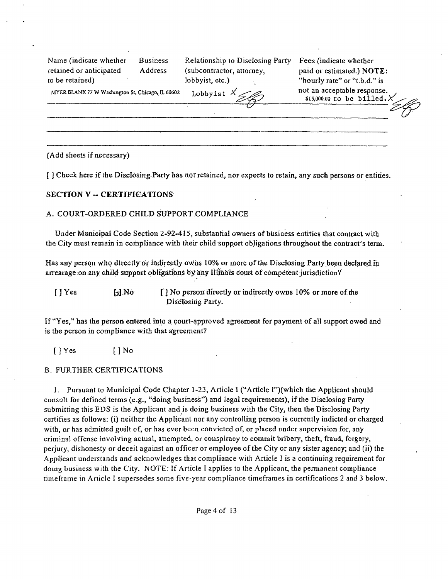Name (indicate whether Business Relationship to Disclosing Party Fees (indicate whether retained or anticipated Address (subcontractor, attorney, paid or estimated.) NOTE: to be retained) lobbyist, etc.) The extension of the extension of the extension of the extension of the extension of the extension of the extension of the extension of the extension of the extension of the extension of the

 $$15,000.00$  to be billed.

MYER BLANK 77 W Washington St. Chicago. IL 60602 Lobby is t  $\chi$  not an acceptable response.

(Add sheets if necessary)

**[ ] Check here if the Disclosing.Party has not retained, nor expects to retain, any such persons or entities.** 

#### **SECTION V - CERTIFICATIONS**

#### A. COURT-ORDERED CHILD SUPPORT COMPLIANCE

Under Municipal Code Section 2-92-415, substantial owners of btisiness entities that contract with the City must remain in compliance with their child support obligations throughout the contract's term.

Has any person who directly or indirectly owns 10% or more of the Disclosing Party been declared in arrearage on any child support obligations by any Illinois court of competent jurisdiction?

 $[$  ] Yes  $[$   $]$  No  $[$   $]$  No person directly or indirectly owns 10% or more of the Disclosing Party.

If "Yes," has the person entered into a court-approved agreement for payment of all support owed and is the person in compliance with that agreement?

[ ] Yes [ ] No

#### B. FURTHER CERTIFICATIONS

1. Pursuant to Municipal Code Chapter 1-23, Article 1 ("Article r')(which the Applicant should consult for defined terms (e.g., "doing business") and legal requirements), if the Disclosing Party submitting this EDS is the Applicant and is doing business with the City, then the Disclosing Party certifies as follows: (i) neither the Applicant nor any controlling person is currently indicted or charged with, or has admitted guilt of, or has ever been convicted of, or placed under supervision for, any criminal offense involving actual, attempted, or conspiracy to commit bribery, theft, fraud, forgery, perjury, dishonesty or deceit against an officer or employee of the City or any sister agency; and (ii) the Applicant understands and acknowledges that compliance with Article I is a continuing requirement for doing business with the City. NOTE: If Article I applies to the Applicant, the permanent compliance timeframe in Article I supersedes some five-year compliance timeframes in certifications 2 and 3 below.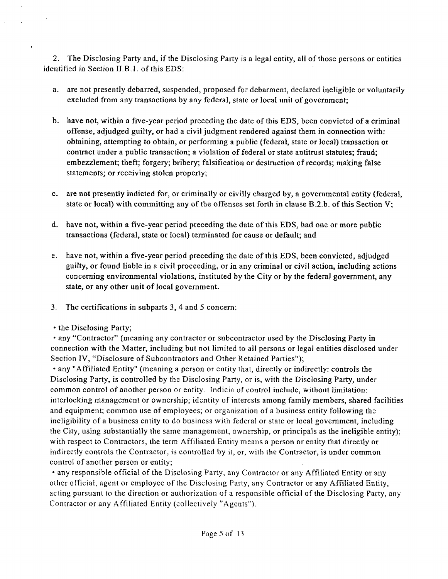2. The Disclosing Party and, if the Disclosing Party is a legal entity, all of those persons or entities identified in Section II.B.1. of this EDS:

- a. are not presently debarred, suspended, proposed for debarment, declared ineligible or voluntarily excluded from any transactions by any federal, state or local unit of government;
- b. have not, within a five-year period preceding the date of this EDS, been convicted of a criminal offense, adjudged guilty, or had a civil judgment rendered against them in connection with: obtaining, attempting to obtain, or performing a public (federal, state or local) transaction or contract under a public transaction; a violation of federal or state antitrust statutes; fraud; embezzlement; theft; forgery; bribery; falsification or destruction of records; making false statements; or receiving stolen property;
- c. are not presently indicted for, or criminally or civilly charged by, a governmental entity (federal, state or local) with committing any of the offenses set forth in clause B.2.b. ofthis Section V;
- d. have not, within a five-year period preceding the date of this EDS, had one or more public transactions (federal, state or local) terminated for cause or default; and
- e. have not, within a five-year period preceding the date of this EDS, been convicted, adjudged guilty, or found liable in a civil proceeding, or in any criminal or civil action, including actions conceming environmental violations, instituted bythe City or by the federal government, any state, or any other unit of local government.
- 3. The certifications in subparts 3, 4 and 5 concem:
- the Disclosing Party;

• any "Contractor" (meaning any contractor or subcontractor used by the Disclosing Party in connection with the Matter, including but not limited to ail persons or legal entities disclosed under Section IV, "Disclosure of Subcontractors and Other Retained Parties");

• any "Affiliated Entity" (meaning a person or entity that, directly or indirectly: controls the Disclosing Party, is controlled by the Disclosing Party, or is, with the Disclosing Party, under common control of another person or entity. Indicia of control include, without limitation: interlocking management or ownership; identity of interests among family members, shared facilities and equipment; common use of employees; or organization of a business entity following the ineligibility of a business entity to do business with federal or state or local government, including the City, using substantially the same management, ownership, or principals as the ineligible entity); with respect to Contractors, the term Affiliated Entity means a person or entity that directly or indirectly controls the Contractor, is controlled by it, or, with the Contractor, is under common control of another person or entity;

• any responsible official of the Disclosing Party, any Contractor or any Affiliated Entity or any other official, agent or employee of the Disclosing Party, any Contractor or any Affiliated Entity, acting pursuant to the direction or authorization of a responsible official ofthe Disclosing Party, any Contractor or any Affiliated Entity (collectively "Agents").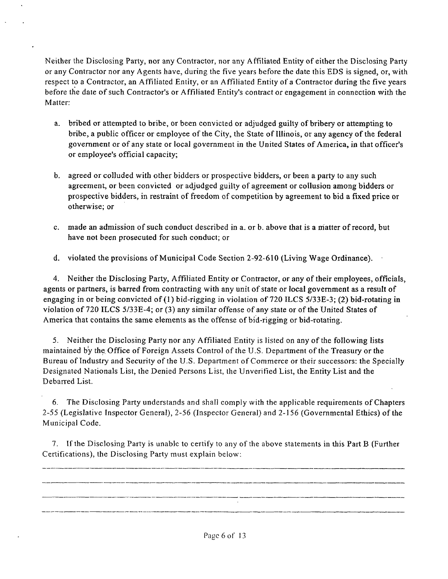Neither the Disclosing Party, nor any Contractor, nor any Affiliated Entity of either the Disclosing Party or any Contractor nor any Agents have, during the five years before the date this EDS is signed, or, with respect to a Contractor, an Affiliated Entity, or an Affiliated Entity of a Contractor during the five years before the date of such Contractor's or Affiliated Entity's contract or engagement in connection with the Matter:

- a. bribed or attempted to bribe, or been convicted or adjudged guilty of bribery or attempting to bribe, a public officer or employee of the City, the State of Illinois, or any agency of the federal government or of any state or local government in the United States of America, in that officer's or employee's official capacity;
- b. agreed or colluded with other bidders or prospective bidders, or been a party to any such agreement, or been convicted or adjudged guilty of agreement or collusion among bidders or prospective bidders, in restraint of freedom of competition by agreement to bid a fixed price or otherwise; or
- c. made an admission of such conduct described in a. or b. above that is a niatter of record, but have not been prosecuted for such conduct; or
- d. violated the provisions of Municipal Code Section 2-92-610 (Living Wage Ordinance).

4. Neither the Disclosing Party, Affiliated Entity or Contractor, or any of their employees, officials, agents or partners, is barred from contracting with any unit of state or local govemment as a result of engaging in or being convicted of (I) bid-rigging in violation of 720 ILCS 5/33E-3; (2) bid-rotating in violation of 720 ILCS 5/33E-4; or (3) any similar offense of any state or of the United States of America that contains the same elements as the offense of bid-rigging or bid-rotating.

5. Neither the Disclosing Party nor any Afflliated Entity is listed on any of the following lists maintained by the. Office of Foreign Assets Control of the U.S. Department of the Treasury or the Bureau of Industry and Security of the U.S. Department of Commerce or their successors: the Specially Designated Nationals List, the Denied Persons List, the Unverified List, the Entity List and the Debarred List.

6. The Disclosing Party understands and shall comply with the applicable requirements of Chapters 2-55 (Legislative Inspector General), 2-56 (Inspector General) and 2-156 (Governmental Ethics) of the Municipal Code.

7. If the Disclosing Party is unable to certify to any ofthe above statements in this Part B (Further Certifications), the Disclosing Party must explain below:

Page 6 of 13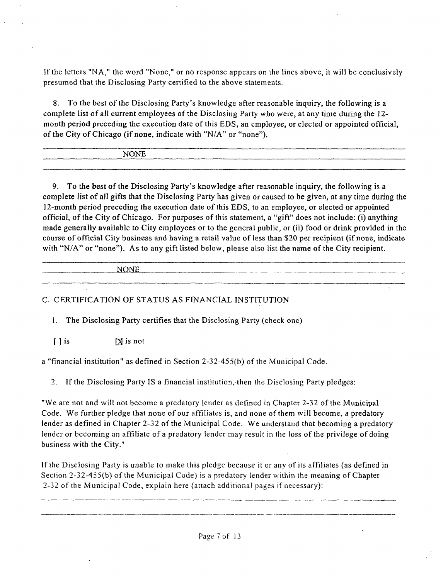If the letters "NA," the word "None," or no response appears on the lines above, it will be conclusively presumed that the Disclosing Party certified to the above statements.

8. To the best of the Disclosing Party's knowledge after reasonable inquiry, the following is a complete list of all current employees of the Disclosing Party who were, at any time during the 12 month period preceding the execution date of this EDS, an employee, or elected or appointed official, of the City of Chicago (if none, indicate with "N/A" or "none").

| <b>NONE</b> |    |
|-------------|----|
|             |    |
|             | __ |
|             |    |

9. To the best of the Disclosing Party's knowledge after reasonable inquiry, the following is a complete list of all gifts that the Disclosing Party has given or caused to be given, at any time during the 12-month period preceding the execution date of this EDS, to an employee, or elected or appointed official, of the City of Chicago. For purposes of this statement, a "gift" does not include: (i) anything made generally available to City employees or to the general public, or (ii) food or drink provided in the course of official City business and having a retail value of less than \$20 per recipient (if none, indicate with "N/A" or "none"). As to any gift listed below, please also list the name of the City recipient.

| _________                    | ________ |
|------------------------------|----------|
| <b>NONE</b><br>_____<br>____ |          |
|                              |          |

# C. CERTIFICATION OF STATUS AS FINANCIAL INSTITUTION

1. The Disclosing Party certifies that the Disclosing Party (check one)

 $[ ]$  is  $[ \times ]$  is not

a "financial institution" as defined in Section  $2-32-455(b)$  of the Municipal Code.

2. If the Disclosing Party IS a financial institution,-then the Disclosing Party pledges:

"We are not and will not become a predatory lender as defined in Chapter 2-32 of the Municipal Code. We further pledge that none of our affiliates is, and none of them will become, a predatory lender as defined in Chapter 2-32 of the Municipal Code. We understand that becoming a predatory lender or becoming an affiliate of a predatory lender may result in the loss of the privilege of doing business with the City."

If the Disclosing Party is unable to make this pledge because it or any of its affiliates (as defined in Section  $2-32-455(b)$  of the Municipal Code) is a predatory lender within the meaning of Chapter 2-32 ofthe Municipal Code, explain here (attach additional pages if necessary):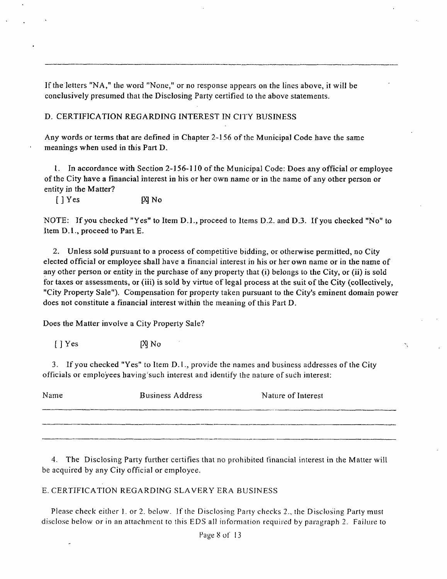If the letters "NA," the word "None," or no response appears on the lines above, it will be conclusively presumed that the Disclosing Party certified to the above statements.

# D. CERTIFICATION REGARDING INTEREST IN CITY BUSINESS

Any words or terms that are defined in Chapter 2-156 of the Municipal Code have the same meanings when used in this Part D.

1. In accordance with Section 2-156-110 of the Municipal Code: Does any official or employee of the City have a financial interest in his or her own name or in the name of any other person or entity in the Matter?

[ ] Yes [X] No

NOTE: If you checked "Yes" to Item D.L, proceed to Items D.2. and D.3. If you checked "No" to Item D.1., proceed to Part E.

2. Unless sold pursuant to a process of competitive bidding, or otherwise permitted, no City elected official or employee shall have a financial interest in his or her own name or in the name of any other person or entity in the purchase of any property that (i) belongs to the City, or (ii) is sold for taxes or assessments, or (iii) is sold by virtue of legal process at the suit of the City (collectively, "City Property Sale"). Compensation for property taken pursuant to the City's eminent domain power does not constitute a financial interest within the meaning of this Part D.

Does the Matter involve a City Property Sale?

[ ] Yes M o

3. If you checked "Yes" to Item D.l., provide the names and business addresses of the City officials or employees having such interest and identify the nature of such interest:

| Name | <b>Business Address</b> | Nature of Interest |
|------|-------------------------|--------------------|
|      |                         |                    |
|      |                         |                    |

4. The Disclosing Party further certifies that no prohibited financial interest in the Matter will be acquired by any City official or employee.

# E. CERTIFICATION REGARDING SLAVERY ERA BUSINESS

Please check either 1. or 2. below. If the Disclosing Parly checks 2., the Disclosing Party must disclose below or in an attachment to this EDS all information required by paragraph 2. Failure to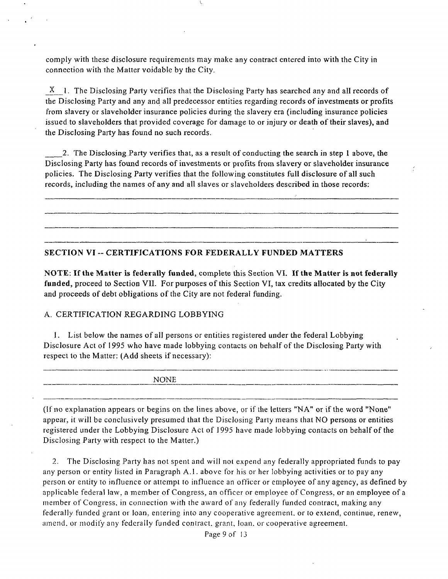comply with these disclosure requirements may make any contract entered into with the City in connection with the Matter voidable by the City.

 $X<sub>1</sub>$ . The Disclosing Party verifies that the Disclosing Party has searched any and all records of the Disclosing Party and any and all predecessor entities regarding records of investments or profits from slavery or slaveholder insurance policies during the slavery era (including insurance policies issued to slaveholders that provided coverage for damage to or injury or death of their slaves), and the Disclosing Party has found no such records.

2. The Disclosing Party verifies that, as a result of conducting the search in step I above, the Disclosing Party has found records of investments or profits from slavery or slaveholder insurance policies. The Disclosing Party verifies that the following constitutes full disclosure of all such records, including the names of any and all slaves or slaveholders described in those records:

#### **SECTION VI - CERTIFICATIONS FOR FEDERALL Y FUNDED MATTERS**

NOTE: If the Matter is federally funded, complete this Section VI. If the Matter is not federally funded, proceed to Section VII. For purposes of this Section VI, tax credits allocated by the City and proceeds of debt obligations of the City are not federal funding.

#### A. CERTIFICATION REGARDING LOBBYING

1. List below the names of all persons or entities registered under the federal Lobbying Disclosure Act of 1995 who have made lobbying contacts on behalf of the Disclosing Party with respect to the Matter: (Add sheets if necessary):

NONE

(If no explanation appears or begins on the lines above, or if the letters "NA" or if the word "None" appear, it will be conclusively presumed that the Disclosing Party means that NO persons or entities registered under the Lobbying Disclosure Act of 1995 have made lobbying contacts on behalf of the Disclosing Party with respect to the Matter.)

2. The Disclosing Party has not spent and will not expend any federally appropriated funds to pay any person or entity listed in Paragraph A.l . above for his or her lobbying activities or to pay any person or entity to infiuence or attempt to influence an officer or employee of any agency, as defined by applicable federal law, a member of Congress, an officer or employee of Congress, or an employee of a member of Congress, in connection with the award of any federally funded contract, making any federally funded grant or loan, entering into any cooperative agreement, or to extend, continue, renew, amend, or modify any federally funded contract, grant, loan, or cooperative agreement.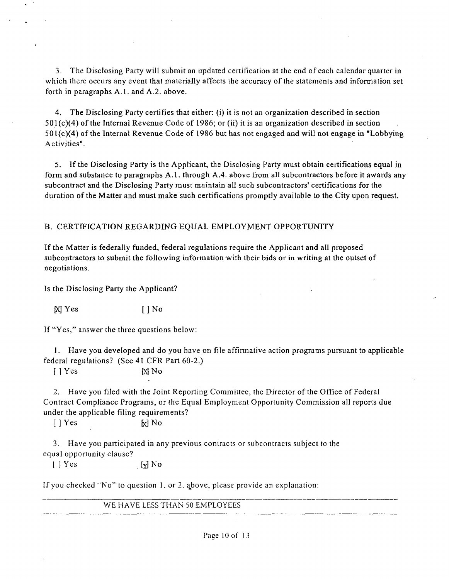3. The Disclosing Party will submit an updated certification at the end of each calendar quarter in which there occurs any event that materially affects the accuracy of the statements and information set forth in paragraphs A.l . and A.2. above.

4. The Disclosing Party certifies that either: (i) it is not an organization described in section 501(c)(4) of the Internal Revenue Code of 1986; or (ii) it is an organization described in section 501(c)(4) of the Intemal Revenue Code of 1986 but has not engaged and will not engage in "Lobbying Activities".

5. If the Disclosing Party is the Applicant, the Disclosing Party must obtain certifications equal in form and substance to paragraphs A.l . through A.4. above from all subcontractors before it awards any subcontract and the Disclosing Party must maintain all such subcontractors' certifications for the duration of the Matter and must make such certifications promptly available to the City upon request.

# B. CERTIFICATION REGARDING EQUAL EMPLOYMENT OPPORTUNITY

If the Matter is federally funded, federal regulations require the Applicant and all proposed subcontractors to submit the following information with their bids or in writing at the outset of negotiations.

Is the Disclosing Party the Applicant?

 $[N]$  Yes [ ] No

If "Yes," answer the three questions below:

1. Have you developed and do you have on file affirmative action programs pursuant to applicable federal regulations? (See 41 CFR Part 60-2.)

 $[$  ] Yes  $[$   $]$  Yes  $[$   $]$  No

2. Have you filed with the Joint Reporting Committee, the Director of the Office of Federal Contract Compliance Programs, or the Equal Employment Opportunity Commission all reports due under the applicable filing requirements?

 $[ ]$  Yes  $[ \times ]$  No

3. Have you participated in any previous contracts or subcontracts subject to the equal opportunity clause?

 $|\n\|$  Yes  $\left[\n\mathbf{x}\right]$  No

If you checked "No" to question 1. or 2. above, please provide an explanation:

WE HAVE LESS THAN 50 EMPLOYEES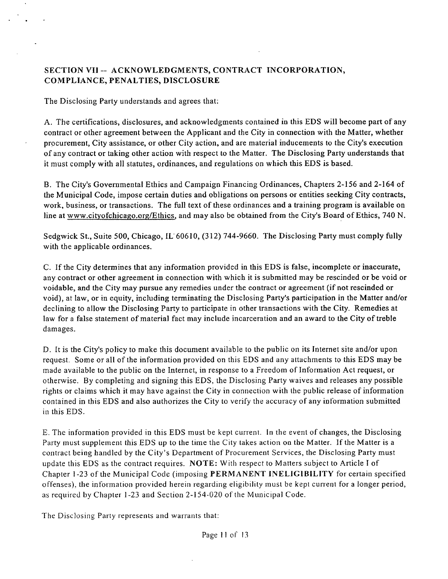# SECTION VII -- ACKNOWLEDGMENTS, CONTRACT INCORPORATION, COMPLIANCE, PENALTIES, DISCLOSURE

The Disclosing Party understands and agrees that:

A. The certifications, disclosures, and acknowledgments contained in this EDS will become part of any contract or other agreement between the Applicant and the City in connection with the Matter, whether procurement. City assistance, or other City action, and are material inducements to the City's execution of any contract or taking other action with respect to the Matter. The Disclosing Party understands that it must comply with all statutes, ordinances, and regulafions on which this EDS is based.

B. The City's Govemmental Ethics and Campaign Financing Ordinances, Chapters 2-156 and 2-164 of the Municipal Code, impose certain duties and obligations on persons or entities seeking City contracts, work, business, or transactions. The full text of these ordinances and a training program is available on line at www.cityofchicago.org/Ethics, and may also be obtained from the City's Board of Ethics, 740 N.

Sedgwick St., Suite 500, Chicago, IL 60610, (312) 744-9660. The Disclosing Party must comply fully with the applicable ordinances.

C. If the City determines that any information provided in this EDS is false, incomplete or inaccurate, any contract or other agreement in connection with which it is submitted may be rescinded or be void or voidable, and the City may pursue any remedies under the contract or agreement (if not rescinded or void), at law, or in equity, including terminating the Disclosing Party's participation in the Matter and/or declining to allow the Disclosing Party to parficipate in other transactions with the City. Remedies at law for a false statement of material fact may include incarceration and an award to the City of treble damages.

D. It is the City's policy to make this document available to the public on its Internet site and/or upon request. Some or all of the informafion provided on this EDS and any attachments to this EDS may be made available to the public on the Internet, in response to a Freedom of Information Act request, or otherwise. By completing and signing this EDS, the Disclosing Party waives and releases any possible rights or claims which it may have against the City in connection with the public release of information contained in this EDS and also authorizes the City to verify the accuracy of any information submitted in this EDS.

E. The information provided in this EDS must be kept current. In the event of changes, the Disclosing Party must supplement this EDS up to the time the City takes action on the Matter. If the Matter is a contract being handled by the City's Department of Procurement Services, the Disclosing Party must update this EDS as the contract requires. NOTE: With respect to Matters subject to Article I of Chapter 1-23 of the Municipal Code (imposing PERMANENT INELIGIBILITY for certain specified offenses), the information provided herein regarding eligibility must be kept current for a longer period, as required by Chapter 1-23 and Section 2-154-020 of the Municipal Code.

The Disclosing Party represents and warrants that: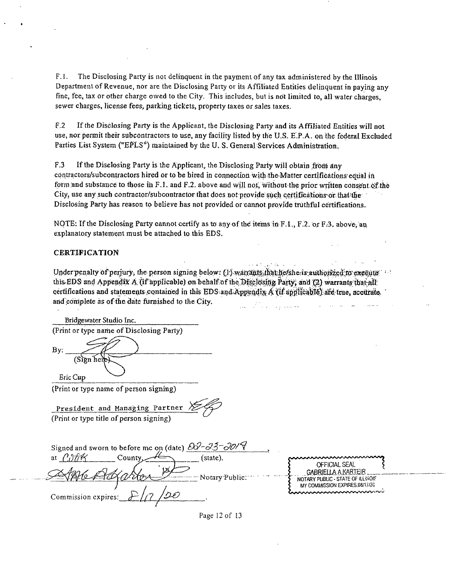F.1. The Disclosing Party is not delinquent in the payment of any tax administered by the Illinois Departmentof Revenue, nor are the Disclosing Party or ils Affiliated Entities delinquent in paying any fine, fee, tax or other charge owed to the City. This includes, but is not limited to, all wafer charges, sewer charges, license fees, parking tickets, property taxes or sales taxes.

F.2 If the Disclosing Party is the Applicant, the Disclosing Party and its Affiliated Entities will not use, nor permit their subcontractors to use, any facility listed by the U.S. E.P.A. on the federal Excluded Parties List System ("EPLS") maintained by the U. S. General Services Administration.

F.3 If the Disclosing Party is the Applicant, the Disclosing Party will obtain from any contractors/subcontractors hired or to be hired in connection with the Matter certifications' equal in form and substance to those in F.1. and F.2. above and will not, without the prior written consent of the City, use any such contractor/subcontractor that does not provide such certifications or that the Disclosing Party has reason to believe has not provided or cannot provide truthful certifications..

NOTE: If the Disclosing Party cannot certify as to any of the items in F.1., F.2. or F.3. above, an explanatory statement must be attached to this EDS.

#### CERTIFICATION

Under penalty of perjury, the person signing below:  $(1)$ -wairants, that he/she is authorized to execute this EDS and Appendix A. (if applicable) on behalf of the Disclosing Party, and (2) warrants that all certifications and statements-contained in this EDS and Appendix  $\hat{A}$  (if applicable) are true, accurate. and complete as of the date fumished to the City. المستنبر وعارضته والكارا الفتيا

and the state of

| Bridgewater Studio Inc.                                                                                                  |                                                                     |
|--------------------------------------------------------------------------------------------------------------------------|---------------------------------------------------------------------|
| (Print or type name of Disclosing Party)                                                                                 |                                                                     |
| By:<br>(Sign hei <del>e</del>                                                                                            |                                                                     |
| Eric Cup                                                                                                                 |                                                                     |
| (Print or type name of person signing)                                                                                   |                                                                     |
| President and Managing Partner<br>(Print or type title of person signing)                                                |                                                                     |
| Signed and sworn to before me on (date) $20^{\circ} - 35^{\circ} - 30^{\prime}$<br>County <sub>-</sub><br>(state).<br>at |                                                                     |
| t×                                                                                                                       | OFFICIAL SEAL<br><b>GABRIELLA A KARTEIR</b>                         |
| - Notary Public.                                                                                                         | NOTARY PUBLIC - STATE OF ILLINOIS<br>MY COMMISSION EXPIRES.08/17/20 |
| Commission expires:                                                                                                      |                                                                     |

Page 12 of 13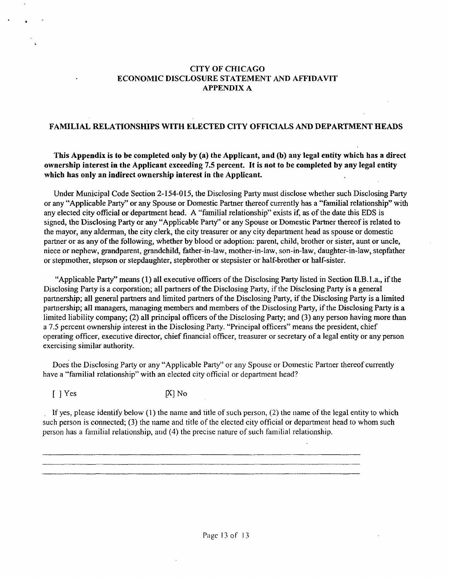## **CITY OF CHICAGO ECONOMIC DISCLOSURE STATEMENT AND AFFIDAVIT**  APPENDIX A

#### **FAMILIAL RELATIONSHIPS WITH ELECTED CITY OFFICIALS AND DEPARTMENT HEADS**

**This Appendix is to be completed only by (a) the Applicant, and (b) any legal entity which has a direct ownership interest in the Applicant exceeding 7.5 percent. It is not to be completed by any legal entity which has only an indirect ownership interest in the Applicant.** 

Under Municipal Code Section 2-154-015, the Disclosing Party must disclose whether such Disclosing Party or any "Applicable Party" or any Spouse or Domestic Partner thereof currently has a "familial relationship" with any elected city official or department head. A "familial relationship" exists if, as of the date this EDS is signed, the Disclosing Party or any "Applicable Party" or any Spouse or Domestic Partaer thereof is related to the mayor, any alderman, the city clerk, the city treasurer or any city department head as spouse or domestic partner or as any of the following, whether by blood or adoption: parent, child, brother or sister, aunt or uncle, niece or nephew, grandparent, grandchild, father-in-law, mother-in-law, son-in-law, daughter-in-law, stepfather or stepmother, stepson or stepdaughter, stepbrother or stepsister or half-brother or half-sister.

"Applicable Party" means (1) all executive officers of the Disclosing Party listed in Section II.B.l.a., if the Disclosing Party is a corporation; all partners of the Disclosing Party, if the Disclosing Party is a general paitnership; all general partners and limited partners of the Disclosing Party, if the Disclosing Party is a limited partnership; all managers, managing members and members of the Disclosing Party, if the Disclosing Party is a limited liability company; (2) all principal officers of the Disclosing Party; and (3) any person having more than a 7.5 percent ownership interest in the Disclosing Party. "Principal officers" means the president, chief operating officer, executive director, chief financial officer, treasurer or secretary of a legal entity or any person exercising similar authority.

Does the Disclosing Party or any "Applicable Party" or any Spouse or Domestic Partner thereof currently have a "familial relationship" with an elected city official or department head?

 $[$   $]$  Yes  $[$ X $]$  No

If yes, please idenfify below (1) the name and title of such person, (2) the name of the legal entity to which such person is connected; (3) the name and title of the elected city official or department head to whom such person has a familial relationship, and (4) the precise nature of such familial relationship.